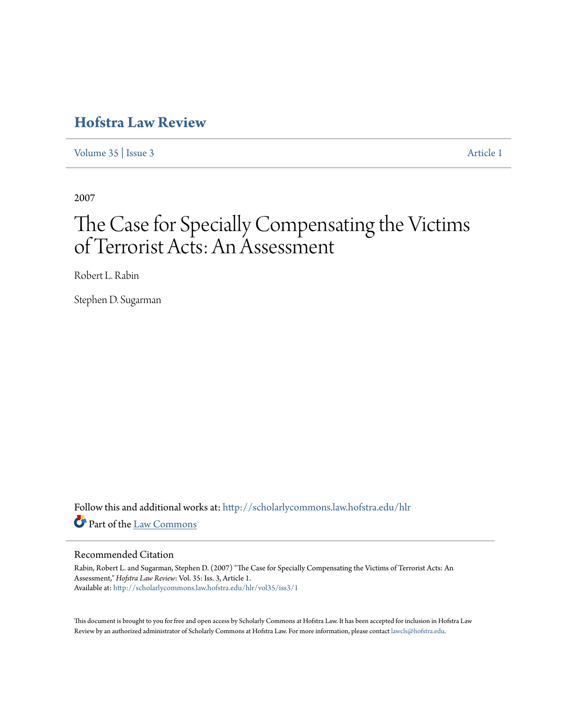# **[Hofstra Law Review](http://scholarlycommons.law.hofstra.edu/hlr?utm_source=scholarlycommons.law.hofstra.edu%2Fhlr%2Fvol35%2Fiss3%2F1&utm_medium=PDF&utm_campaign=PDFCoverPages)**

[Volume 35](http://scholarlycommons.law.hofstra.edu/hlr/vol35?utm_source=scholarlycommons.law.hofstra.edu%2Fhlr%2Fvol35%2Fiss3%2F1&utm_medium=PDF&utm_campaign=PDFCoverPages) | [Issue 3](http://scholarlycommons.law.hofstra.edu/hlr/vol35/iss3?utm_source=scholarlycommons.law.hofstra.edu%2Fhlr%2Fvol35%2Fiss3%2F1&utm_medium=PDF&utm_campaign=PDFCoverPages) [Article 1](http://scholarlycommons.law.hofstra.edu/hlr/vol35/iss3/1?utm_source=scholarlycommons.law.hofstra.edu%2Fhlr%2Fvol35%2Fiss3%2F1&utm_medium=PDF&utm_campaign=PDFCoverPages)

2007

# The Case for Specially Compensating the Victims of Terrorist Acts: An Assessment

Robert L. Rabin

Stephen D. Sugarman

Follow this and additional works at: [http://scholarlycommons.law.hofstra.edu/hlr](http://scholarlycommons.law.hofstra.edu/hlr?utm_source=scholarlycommons.law.hofstra.edu%2Fhlr%2Fvol35%2Fiss3%2F1&utm_medium=PDF&utm_campaign=PDFCoverPages) Part of the [Law Commons](http://network.bepress.com/hgg/discipline/578?utm_source=scholarlycommons.law.hofstra.edu%2Fhlr%2Fvol35%2Fiss3%2F1&utm_medium=PDF&utm_campaign=PDFCoverPages)

## Recommended Citation

Rabin, Robert L. and Sugarman, Stephen D. (2007) "The Case for Specially Compensating the Victims of Terrorist Acts: An Assessment," *Hofstra Law Review*: Vol. 35: Iss. 3, Article 1. Available at: [http://scholarlycommons.law.hofstra.edu/hlr/vol35/iss3/1](http://scholarlycommons.law.hofstra.edu/hlr/vol35/iss3/1?utm_source=scholarlycommons.law.hofstra.edu%2Fhlr%2Fvol35%2Fiss3%2F1&utm_medium=PDF&utm_campaign=PDFCoverPages)

This document is brought to you for free and open access by Scholarly Commons at Hofstra Law. It has been accepted for inclusion in Hofstra Law Review by an authorized administrator of Scholarly Commons at Hofstra Law. For more information, please contact [lawcls@hofstra.edu](mailto:lawcls@hofstra.edu).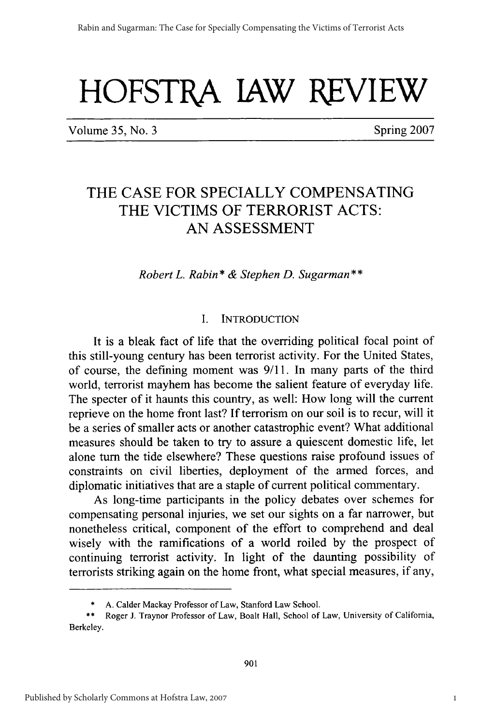# **HOFSTBA JAW REVIEW**

Volume 35, No. 3 Spring 2007

## THE **CASE** FOR **SPECIALLY COMPENSATING** THE VICTIMS OF TERRORIST ACTS: **AN ASSESSMENT**

*Robert L. Rabin\* & Stephen D. Sugarman\*\**

#### I. INTRODUCTION

It is a bleak fact of life that the overriding political focal point of this still-young century has been terrorist activity. For the United States, of course, the defining moment was **9/11.** In many parts of the third world, terrorist mayhem has become the salient feature of everyday life. The specter of it haunts this country, as well: How long will the current reprieve on the home front last? If terrorism on our soil is to recur, will it be a series of smaller acts or another catastrophic event? What additional measures should be taken to try to assure a quiescent domestic life, let alone turn the tide elsewhere? These questions raise profound issues of constraints on civil liberties, deployment of the armed forces, and diplomatic initiatives that are a staple of current political commentary.

As long-time participants in the policy debates over schemes for compensating personal injuries, we set our sights on a far narrower, but nonetheless critical, component of the effort to comprehend and deal wisely with the ramifications of a world roiled by the prospect of continuing terrorist activity. In light of the daunting possibility of terrorists striking again on the home front, what special measures, if any,

<sup>\*</sup> A. Calder Mackay Professor of Law, Stanford Law School.

<sup>\*\*</sup> Roger J. Traynor Professor of Law, Boalt Hall, School of Law, University of California, Berkeley.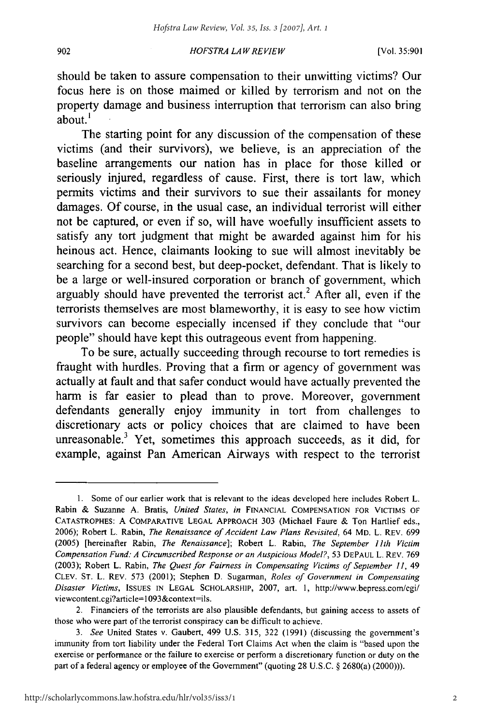#### *HOFSTRA LA W REVIEW*

902

should be taken to assure compensation to their unwitting victims? Our focus here is on those maimed or killed **by** terrorism and not on the property damage and business interruption that terrorism can also bring about.'

The starting point for any discussion of the compensation of these victims (and their survivors), we believe, is an appreciation of the baseline arrangements our nation has in place for those killed or seriously injured, regardless of cause. First, there is tort law, which permits victims and their survivors to sue their assailants for money damages. **Of** course, in the usual case, an individual terrorist will either not be captured, or even if so, will have woefully insufficient assets to satisfy any tort judgment that might be awarded against him for his heinous act. Hence, claimants looking to sue will almost inevitably be searching for a second best, but deep-pocket, defendant. That is likely to be a large or well-insured corporation or branch of government, which arguably should have prevented the terrorist  $act<sup>2</sup>$ . After all, even if the terrorists themselves are most blameworthy, it is easy to see how victim survivors can become especially incensed if they conclude that "our people" should have kept this outrageous event from happening.

To be sure, actually succeeding through recourse to tort remedies is fraught with hurdles. Proving that a firm or agency of government was actually at fault and that safer conduct would have actually prevented the harm is far easier to plead than to prove. Moreover, government defendants generally enjoy immunity in tort from challenges to discretionary acts or policy choices that are claimed to have been unreasonable. $3$  Yet, sometimes this approach succeeds, as it did, for example, against Pan American Airways with respect to the terrorist

**<sup>1.</sup>** Some of our earlier work that is relevant to the ideas developed here includes Robert L. Rabin **&** Suzanne **A.** Bratis, *United States, in* **FINANCIAL COMPENSATION** FOR **VICTIMS** OF **CATASTROPHES: A** COMPARATIVE **LEGAL** APPROACH **303** (Michael Faure **&** Ton Hartlief eds., **2006);** Robert L. Rabin, *The Renaissance of Accident Law Plans Revisited,* 64 MD. L. REV. **699 (2005)** [hereinafter Rabin, *The Renaissance];* Robert L. Rabin, *The September 11th Victim Compensation Fund: A Circumscribed Response or an Auspicious* Model?, **53 DEPAUL** L. REV. **769 (2003);** Robert L. Rabin, *The* Quest *for Fairness in Compensating Victims of* September *11,* 49 **CLEV. ST.** L. REV. **573** (2001); Stephen **D.** Sugarman, *Roles of Government in Compensating Disaster Victims,* **ISSUES IN LEGAL** SCHOLARSHIP, **2007,** art. **1,** http://www.bepress.com/cgi/ viewcontent.cgi?article= 1093&context=ils.

<sup>2.</sup> Financiers of the terrorists are also plausible defendants, but gaining access to assets of those who were part of the terrorist conspiracy can be difficult to achieve.

*<sup>3.</sup> See* United States v. Gaubert, 499 **U.S. 315, 322 (1991)** (discussing the government's immunity from tort liability under the Federal Tort Claims Act when the claim is "based upon the exercise or performance or the failure to exercise or perform a discretionary function or duty on the part of a federal agency or employee of the Government" (quoting **28 U.S.C. §** 2680(a) (2000))).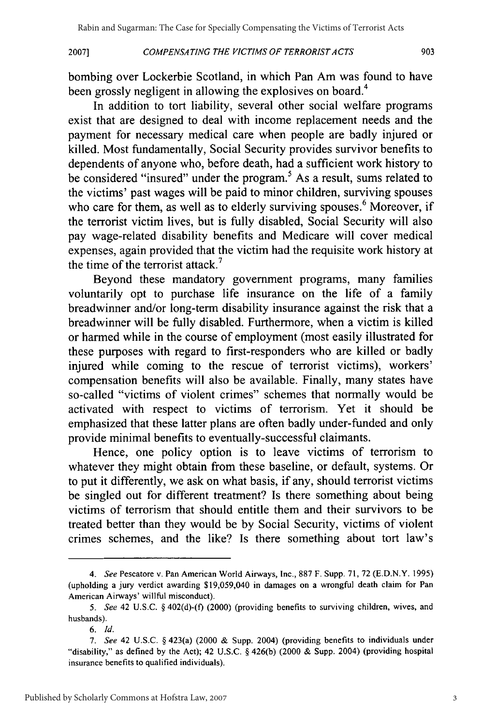#### *COMPENSATING THE VICTIMS OF TERRORIST ACTS*

bombing over Lockerbie Scotland, in which Pan Am was found to have been grossly negligent in allowing the explosives on board.<sup>4</sup>

In addition to tort liability, several other social welfare programs exist that are designed to deal with income replacement needs and the payment for necessary medical care when people are badly injured or killed. Most fundamentally, Social Security provides survivor benefits to dependents of anyone who, before death, had a sufficient work history to be considered "insured" under the program.<sup>5</sup> As a result, sums related to the victims' past wages will be paid to minor children, surviving spouses who care for them, as well as to elderly surviving spouses.<sup>6</sup> Moreover, if the terrorist victim lives, but is fully disabled, Social Security will also pay wage-related disability benefits and Medicare will cover medical expenses, again provided that the victim had the requisite work history at the time of the terrorist attack.<sup>7</sup>

Beyond these mandatory government programs, many families voluntarily opt to purchase life insurance on the life of a family breadwinner and/or long-term disability insurance against the risk that a breadwinner will be fully disabled. Furthermore, when a victim is killed or harmed while in the course of employment (most easily illustrated for these purposes with regard to first-responders who are killed or badly injured while coming to the rescue of terrorist victims), workers' compensation benefits will also be available. Finally, many states have so-called "victims of violent crimes" schemes that normally would be activated with respect to victims of terrorism. Yet it should be emphasized that these latter plans are often badly under-funded and only provide minimal benefits to eventually-successful claimants.

Hence, one policy option is to leave victims of terrorism to whatever they might obtain from these baseline, or default, systems. Or to put it differently, we ask on what basis, if any, should terrorist victims be singled out for different treatment? Is there something about being victims of terrorism that should entitle them and their survivors to be treated better than they would be by Social Security, victims of violent crimes schemes, and the like? Is there something about tort law's

**2007]**

*<sup>4.</sup> See* Pescatore v. Pan American World Airways, Inc., 887 F. Supp. 71, 72 **(E.D.N.Y.** 1995) (upholding a jury verdict awarding \$19,059,040 in damages on a wrongful death claim for Pan American Airways' willful misconduct).

*<sup>5.</sup> See* 42 U.S.C. § 402(d)-(f) (2000) (providing benefits to surviving children, wives, and husbands).

<sup>6.</sup> *Id.*

*<sup>7.</sup> See* 42 U.S.C. § 423(a) (2000 & Supp. 2004) (providing benefits to individuals under "disability," as defined by the Act); 42 U.S.C. § 426(b) (2000 & Supp. 2004) (providing hospital insurance benefits to qualified individuals).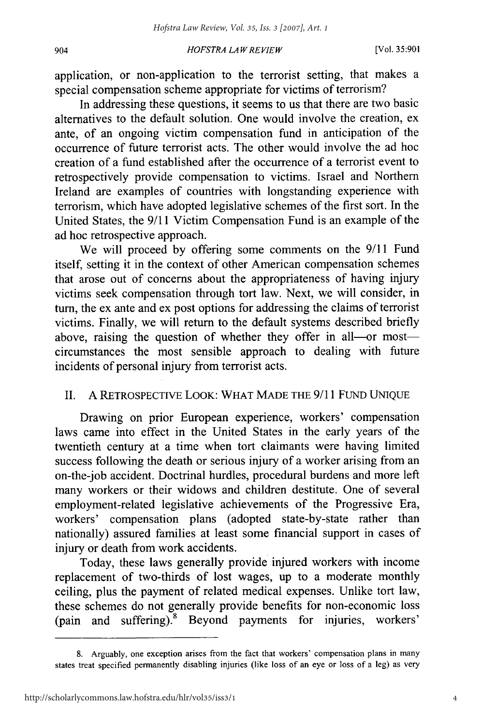#### *HOFSTRA LAW REVIEW* 904 [Vol. **35:901**

application, or non-application to the terrorist setting, that makes a special compensation scheme appropriate for victims of terrorism?

In addressing these questions, it seems to us that there are two basic alternatives to the default solution. One would involve the creation, ex ante, of an ongoing victim compensation fund in anticipation of the occurrence of future terrorist acts. The other would involve the ad hoc creation of a fund established after the occurrence of a terrorist event to retrospectively provide compensation to victims. Israel and Northern Ireland are examples of countries with longstanding experience with terrorism, which have adopted legislative schemes of the first sort. In the United States, the 9/11 Victim Compensation Fund is an example of the ad hoc retrospective approach.

We will proceed by offering some comments on the 9/11 Fund itself, setting it in the context of other American compensation schemes that arose out of concerns about the appropriateness of having injury victims seek compensation through tort law. Next, we will consider, in turn, the ex ante and ex post options for addressing the claims of terrorist victims. Finally, we will return to the default systems described briefly above, raising the question of whether they offer in all-or mostcircumstances the most sensible approach to dealing with future incidents of personal injury from terrorist acts.

#### II. A RETROSPECTIVE LOOK: WHAT MADE THE 9/11 FUND UNIQUE

Drawing on prior European experience, workers' compensation laws came into effect in the United States in the early years of the twentieth century at a time when tort claimants were having limited success following the death or serious injury of a worker arising from an on-the-job accident. Doctrinal hurdles, procedural burdens and more left many workers or their widows and children destitute. One of several employment-related legislative achievements of the Progressive Era, workers' compensation plans (adopted state-by-state rather than nationally) assured families at least some financial support in cases of injury or death from work accidents.

Today, these laws generally provide injured workers with income replacement of two-thirds of lost wages, up to a moderate monthly ceiling, plus the payment of related medical expenses. Unlike tort law, these schemes do not generally provide benefits for non-economic loss (pain and suffering).<sup>8</sup> Beyond payments for injuries, workers'

<sup>8.</sup> Arguably, one exception arises from the fact that workers' compensation plans in many states treat specified permanently disabling injuries (like loss of an eye or loss of a leg) as very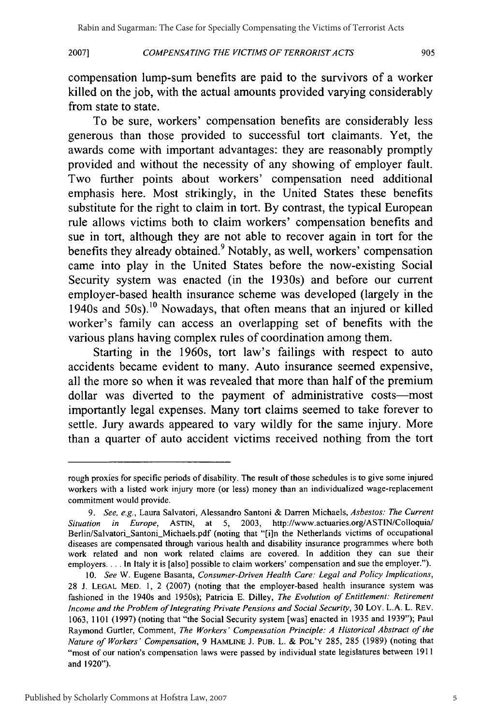#### **2007] COMPENSATING THE VICTIMS OF TERRORIST ACTS** 90:

compensation lump-sum benefits are paid to the survivors of a worker killed on the **job,** with the actual amounts provided varying considerably from state to state.

To be sure, workers' compensation benefits are considerably less generous than those provided to successful tort claimants. Yet, the awards come with important advantages: they are reasonably promptly provided and without the necessity of any showing of employer fault. Two further points about workers' compensation need additional emphasis here. Most strikingly, in the United States these benefits substitute for the right to claim in tort. **By** contrast, the typical European rule allows victims both to claim workers' compensation benefits and sue in tort, although they are not able to recover again in tort for the benefits they already obtained.<sup>9</sup> Notably, as well, workers' compensation came into play in the United States before the now-existing Social Security system was enacted (in the 1930s) and before our current employer-based health insurance scheme was developed (largely in the 1940s and  $50s$ .<sup>10</sup> Nowadays, that often means that an injured or killed worker's family can access an overlapping set of benefits with the various plans having complex rules of coordination among them.

Starting in the 1960s, tort law's failings with respect to auto accidents became evident to many. Auto insurance seemed expensive, all the more so when it was revealed that more than half of the premium dollar was diverted to the payment of administrative costs-most importantly legal expenses. Many tort claims seemed to take forever to settle. Jury awards appeared to vary wildly for the same injury. More than a quarter of auto accident victims received nothing from the tort

rough proxies for specific periods of disability. The result of those schedules is to give some injured workers with a listed work injury more (or less) money than an individualized wage-replacement commitment would provide.

*<sup>9.</sup> See, e.g.,* Laura Salvatori, Alessandro Santoni **&** Darren Michaels, *Asbestos: The Current Situation in Europe,* ASTIN, at 5, 2003, http://www.actuaries.org/ASTIN/Colloquia/ Berlin/Salvatori\_Santoni\_Michaels.pdf (noting that "[i]n the Netherlands victims of occupational diseases are compensated through various health and disability insurance programmes where both work related and non work related claims are covered. In addition they can sue their employers.... In Italy it is [also] possible to claim workers' compensation and sue the employer.").

<sup>10.</sup> *See* W. Eugene Basanta, *Consumer-Driven Health Care: Legal and Policy Implications,* 28 J. LEGAL MED. 1, 2 (2007) (noting that the employer-based health insurance system was fashioned in the 1940s and 1950s); Patricia E. Dilley, *The Evolution of Entitlement: Retirement Income and the Problem of Integrating Private Pensions and Social Security,* 30 LOY. L.A. L. REV. 1063, 1101 (1997) (noting that "the Social Security system [was] enacted in **1935** and 1939"); Paul Raymond Gurtler, Comment, *The Workers' Compensation Principle: A Historical Abstract of the Nature of Workers' Compensation,* 9 HAMLINE J. PUB. L. & POL'Y 285, 285 (1989) (noting that "most of our nation's compensation laws were passed **by** individual state legislatures between 1911 and 1920").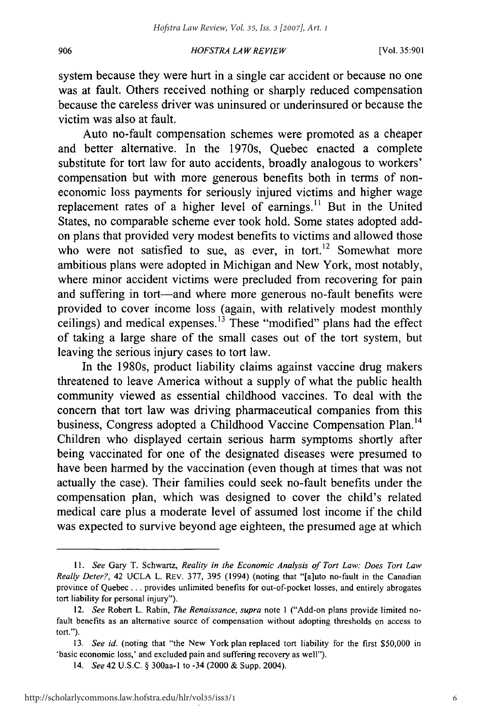#### *HOFSTRA LA W REVIEW*

906

system because they were hurt in a single car accident or because no one was at fault. Others received nothing or sharply reduced compensation because the careless driver was uninsured or underinsured or because the victim was also at fault.

Auto no-fault compensation schemes were promoted as a cheaper and better alternative. In the 1970s, Quebec enacted a complete substitute for tort law for auto accidents, broadly analogous to workers' compensation but with more generous benefits both in terms of noneconomic loss payments for seriously injured victims and higher wage replacement rates of a higher level of earnings.<sup>11</sup> But in the United States, no comparable scheme ever took hold. Some states adopted addon plans that provided very modest benefits to victims and allowed those who were not satisfied to sue, as ever, in tort.<sup>12</sup> Somewhat more ambitious plans were adopted in Michigan and New York, most notably, where minor accident victims were precluded from recovering for pain and suffering in tort—and where more generous no-fault benefits were provided to cover income loss (again, with relatively modest monthly ceilings) and medical expenses.<sup>13</sup> These "modified" plans had the effect of taking a large share of the small cases out of the tort system, but leaving the serious injury cases to tort law.

In the 1980s, product liability claims against vaccine drug makers threatened to leave America without a supply of what the public health community viewed as essential childhood vaccines. To deal with the concern that tort law was driving pharmaceutical companies from this business, Congress adopted a Childhood Vaccine Compensation Plan.<sup>14</sup> Children who displayed certain serious harm symptoms shortly after being vaccinated for one of the designated diseases were presumed to have been harmed by the vaccination (even though at times that was not actually the case). Their families could seek no-fault benefits under the compensation plan, which was designed to cover the child's related medical care plus a moderate level of assumed lost income if the child was expected to survive beyond age eighteen, the presumed age at which

*<sup>11.</sup> See* Gary T. Schwartz, *Reality in the Economic Analysis of Tort Law: Does Tort Law Really Deter?,* 42 UCLA L. REV. 377, 395 (1994) (noting that "[a]uto no-fault in the Canadian province of Quebec **...** provides unlimited benefits for out-of-pocket losses, and entirely abrogates tort liability for personal injury").

<sup>12.</sup> *See* Robert L. Rabin, *The Renaissance, supra* note **I** ("Add-on plans provide limited nofault benefits as an alternative source of compensation without adopting thresholds on access to tort.").

<sup>13.</sup> *See id.* (noting that "the New York plan replaced tort liability for the first \$50,000 in 'basic economic loss,' and excluded pain and suffering recovery as well").

<sup>14.</sup> *See* 42 U.S.C. § 300aa-1 to -34 (2000 & Supp. 2004).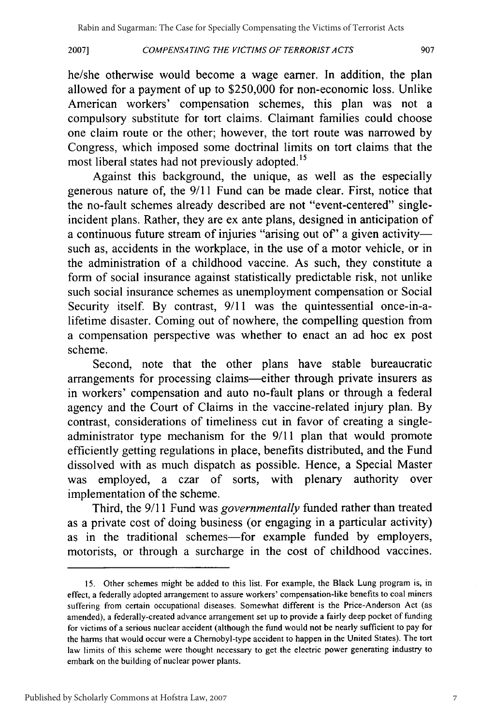#### COMPENSATING THE VICTIMS OF TERRORIST *ACTS* **2007]**

he/she otherwise would become a wage earner. In addition, the plan allowed for a payment of up to \$250,000 for non-economic loss. Unlike American workers' compensation schemes, this plan was not a compulsory substitute for tort claims. Claimant families could choose one claim route or the other; however, the tort route was narrowed by Congress, which imposed some doctrinal limits on tort claims that the most liberal states had not previously adopted.<sup>15</sup>

Against this background, the unique, as well as the especially generous nature of, the 9/11 Fund can be made clear. First, notice that the no-fault schemes already described are not "event-centered" singleincident plans. Rather, they are ex ante plans, designed in anticipation of a continuous future stream of injuries "arising out of" a given activitysuch as, accidents in the workplace, in the use of a motor vehicle, or in the administration of a childhood vaccine. As such, they constitute a form of social insurance against statistically predictable risk, not unlike such social insurance schemes as unemployment compensation or Social Security itself. By contrast, 9/11 was the quintessential once-in-alifetime disaster. Coming out of nowhere, the compelling question from a compensation perspective was whether to enact an ad hoc ex post scheme.

Second, note that the other plans have stable bureaucratic arrangements for processing claims-either through private insurers as in workers' compensation and auto no-fault plans or through a federal agency and the Court of Claims in the vaccine-related injury plan. By contrast, considerations of timeliness cut in favor of creating a singleadministrator type mechanism for the 9/11 plan that would promote efficiently getting regulations in place, benefits distributed, and the Fund dissolved with as much dispatch as possible. Hence, a Special Master was employed, a czar of sorts, with plenary authority over implementation of the scheme.

Third, the 9/11 Fund was *governmentally* funded rather than treated as a private cost of doing business (or engaging in a particular activity) as in the traditional schemes-for example funded by employers, motorists, or through a surcharge in the cost of childhood vaccines.

<sup>15.</sup> Other schemes might be added to this list. For example, the Black Lung program is, in effect, a federally adopted arrangement to assure workers' compensation-like benefits to coal miners suffering from certain occupational diseases. Somewhat different is the Price-Anderson Act (as amended), a federally-created advance arrangement set up to provide a fairly deep pocket of funding for victims of a serious nuclear accident (although the fund would not be nearly sufficient to pay for the harms that would occur were a Chemobyl-type accident to happen in the United States). The tort law limits of this scheme were thought necessary to get the electric power generating industry to embark on the building of nuclear power plants.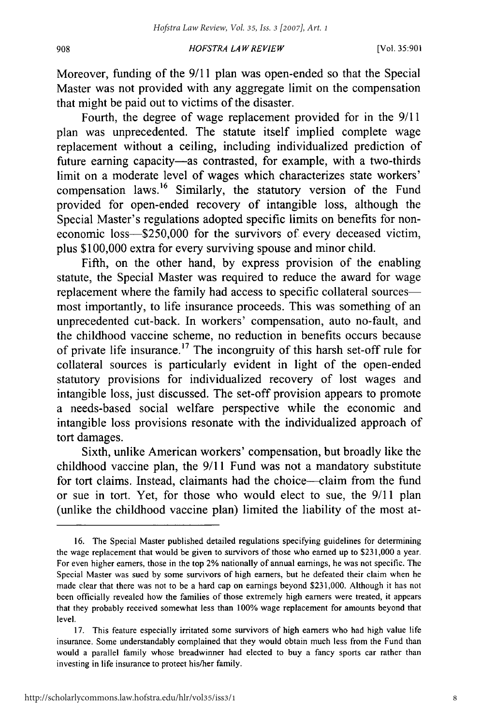#### 908

#### *HOFSTRA LA W REVIEW*

Moreover, funding of the 9/11 plan was open-ended so that the Special Master was not provided with any aggregate limit on the compensation that might be paid out to victims of the disaster.

Fourth, the degree of wage replacement provided for in the 9/11 plan was unprecedented. The statute itself implied complete wage replacement without a ceiling, including individualized prediction of future earning capacity—as contrasted, for example, with a two-thirds limit on a moderate level of wages which characterizes state workers' compensation laws.<sup>16</sup> Similarly, the statutory version of the Fund provided for open-ended recovery of intangible loss, although the Special Master's regulations adopted specific limits on benefits for noneconomic loss-\$250,000 for the survivors of every deceased victim, plus \$100,000 extra for every surviving spouse and minor child.

Fifth, on the other hand, by express provision of the enabling statute, the Special Master was required to reduce the award for wage replacement where the family had access to specific collateral sourcesmost importantly, to life insurance proceeds. This was something of an unprecedented cut-back. In workers' compensation, auto no-fault, and the childhood vaccine scheme, no reduction in benefits occurs because of private life insurance.<sup>17</sup> The incongruity of this harsh set-off rule for collateral sources is particularly evident in light of the open-ended statutory provisions for individualized recovery of lost wages and intangible loss, just discussed. The set-off provision appears to promote a needs-based social welfare perspective while the economic and intangible loss provisions resonate with the individualized approach of tort damages.

Sixth, unlike American workers' compensation, but broadly like the childhood vaccine plan, the 9/11 Fund was not a mandatory substitute for tort claims. Instead, claimants had the choice—claim from the fund or sue in tort. Yet, for those who would elect to sue, the 9/11 plan (unlike the childhood vaccine plan) limited the liability of the most at-

<sup>16.</sup> The Special Master published detailed regulations specifying guidelines for determining the wage replacement that would be given to survivors of those who earned up to **\$231,000** a year. For even higher earners, those in the top 2% nationally of annual earnings, he was not specific. The Special Master was sued by some survivors of high earners, but he defeated their claim when he made clear that there was not to be a hard cap on earnings beyond \$231,000. Although it has not been officially revealed how the families of those extremely high earners were treated, it appears that they probably received somewhat less than 100% wage replacement for amounts beyond that level.

<sup>17.</sup> This feature especially irritated some survivors of high earners who had high value life insurance. Some understandably complained that they would obtain much less from the Fund than would a parallel family whose breadwinner had elected to buy a fancy sports car rather than investing in life insurance to protect his/her family.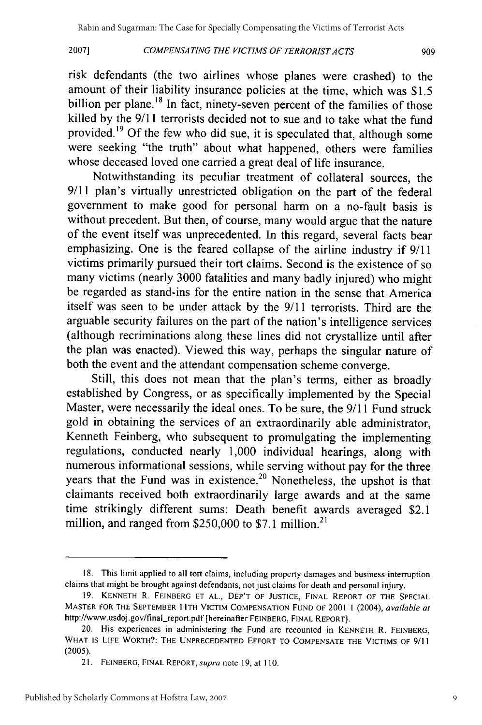#### COMPENSA TING THE VICTIMS OF TERRORIST A *CTS*

**2007]**

risk defendants (the two airlines whose planes were crashed) to the amount of their liability insurance policies at the time, which was \$1.5 billion per plane.<sup>18</sup> In fact, ninety-seven percent of the families of those killed by the **9/11** terrorists decided not to sue and to take what the fund provided.<sup>19</sup> Of the few who did sue, it is speculated that, although some were seeking "the truth" about what happened, others were families whose deceased loved one carried a great deal of life insurance.

Notwithstanding its peculiar treatment of collateral sources, the 9/11 plan's virtually unrestricted obligation on the part of the federal government to make good for personal harm on a no-fault basis is without precedent. But then, of course, many would argue that the nature of the event itself was unprecedented. In this regard, several facts bear emphasizing. One is the feared collapse of the airline industry if 9/11 victims primarily pursued their tort claims. Second is the existence of so many victims (nearly 3000 fatalities and many badly injured) who might be regarded as stand-ins for the entire nation in the sense that America itself was seen to be under attack by the 9/11 terrorists. Third are the arguable security failures on the part of the nation's intelligence services (although recriminations along these lines did not crystallize until after the plan was enacted). Viewed this way, perhaps the singular nature of both the event and the attendant compensation scheme converge.

Still, this does not mean that the plan's terms, either as broadly established by Congress, or as specifically implemented by the Special Master, were necessarily the ideal ones. To be sure, the 9/11 Fund struck gold in obtaining the services of an extraordinarily able administrator, Kenneth Feinberg, who subsequent to promulgating the implementing regulations, conducted nearly 1,000 individual hearings, along with numerous informational sessions, while serving without pay for the three years that the Fund was in existence.<sup>20</sup> Nonetheless, the upshot is that claimants received both extraordinarily large awards and at the same time strikingly different sums: Death benefit awards averaged \$2.1 million, and ranged from \$250,000 to \$7.1 million.<sup>2</sup>

**<sup>18.</sup>** This limit applied to all tort claims, including property damages and business interruption claims that might be brought against defendants, not just claims for death and personal injury.

**<sup>19.</sup> KENNETH** R. FEINBERG **ET AL.,** DEP'T OF JUSTICE, FINAL REPORT OF THE **SPECIAL** MASTER FOR THE SEPTEMBER **11** TH VICTIM **COMPENSATION FUND** OF 2001 1 (2004), *available at* http://www.usdoj.gov/final-report.pdf [hereinafter FEINBERG, FINAL REPORT].

<sup>20.</sup> His experiences in administering the Fund are recounted in **KENNETH** R. FEINBERG, WHAT IS LIFE WORTH?: THE **UNPRECEDENTED** EFFORT TO **COMPENSATE** THE **VICTIMS** OF **9/11** (2005).

<sup>2</sup>**1.** FEINBERG, FINAL REPORT, *supra* note 19, at 110.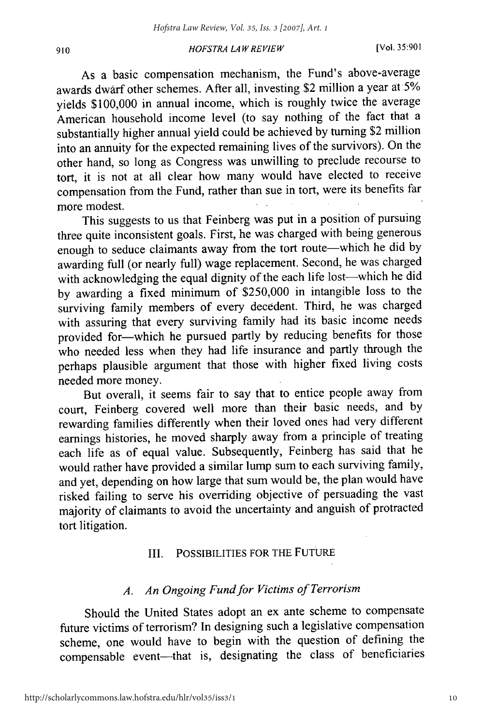#### *HOFS TRA LAW RE VIEW* [Vol. **35:901 <sup>910</sup>**

As a basic compensation mechanism, the Fund's above-average awards dwarf other schemes. After all, investing \$2 million a year at 5% yields \$100,000 in annual income, which is roughly twice the average American household income level (to say nothing of the fact that a substantially higher annual yield could be achieved by turning \$2 million into an annuity for the expected remaining lives of the survivors). On the other hand, so long as Congress was unwilling to preclude recourse to tort, it is not at all clear how many would have elected to receive compensation from the Fund, rather than sue in tort, were its benefits far more modest.

This suggests to us that Feinberg was put in a position of pursuing three quite inconsistent goals. First, he was charged with being generous enough to seduce claimants away from the tort route-which he did by awarding full (or nearly full) wage replacement. Second, he was charged with acknowledging the equal dignity of the each life lost-which he did by awarding a fixed minimum of \$250,000 in intangible loss to the surviving family members of every decedent. Third, he was charged with assuring that every surviving family had its basic income needs provided for-which he pursued partly by reducing benefits for those who needed less when they had life insurance and partly through the perhaps plausible argument that those with higher fixed living costs needed more money.

But overall, it seems fair to say that to entice people away from court, Feinberg covered well more than their basic needs, and by rewarding families differently when their loved ones had very different earnings histories, he moved sharply away from a principle of treating each life as of equal value. Subsequently, Feinberg has said that he would rather have provided a similar lump sum to each surviving family, and yet, depending on how large that sum would be, the plan would have risked failing to serve his overriding objective of persuading the vast majority of claimants to avoid the uncertainty and anguish of protracted tort litigation.

### III. **POSSIBILITIES** FOR THE FUTURE

### *A. An Ongoing Fund for Victims of Terrorism*

Should the United States adopt an ex ante scheme to compensate future victims of terrorism? In designing such a legislative compensation scheme, one would have to begin with the question of defining the compensable event-that is, designating the class of beneficiaries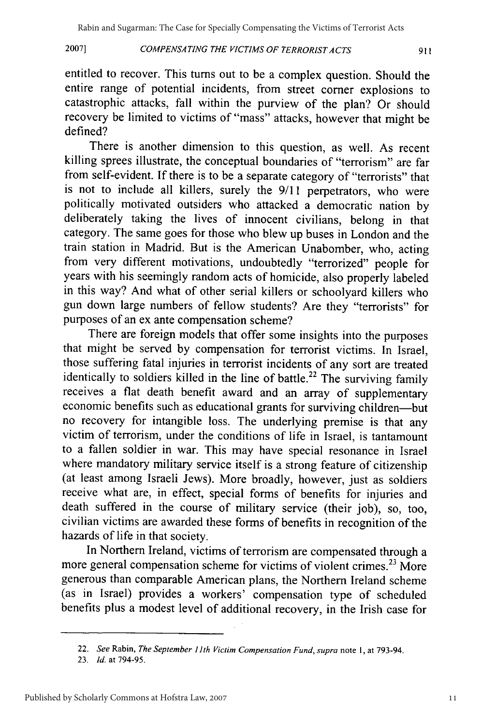#### COMPENSATING THE VICTIMS OF TERRORISTACTS **2007]**

entitled to recover. This turns out to be a complex question. Should the entire range of potential incidents, from street corner explosions to catastrophic attacks, fall within the purview of the plan? Or should recovery be limited to victims of "mass" attacks, however that might be defined?

There is another dimension to this question, as well. As recent killing sprees illustrate, the conceptual boundaries of "terrorism" are far from self-evident. If there is to be a separate category of "terrorists" that is not to include all killers, surely the 9/11 perpetrators, who were politically motivated outsiders who attacked a democratic nation by deliberately taking the lives of innocent civilians, belong in that category. The same goes for those who blew up buses in London and the train station in Madrid. But is the American Unabomber, who, acting from very different motivations, undoubtedly "terrorized" people for years with his seemingly random acts of homicide, also properly labeled in this way? And what of other serial killers or schoolyard killers who gun down large numbers of fellow students? Are they "terrorists" for purposes of an ex ante compensation scheme?

There are foreign models that offer some insights into the purposes that might be served by compensation for terrorist victims. In Israel, those suffering fatal injuries in terrorist incidents of any sort are treated identically to soldiers killed in the line of battle.<sup>22</sup> The surviving family receives a flat death benefit award and an array of supplementary economic benefits such as educational grants for surviving children-but no recovery for intangible loss. The underlying premise is that any victim of terrorism, under the conditions of life in Israel, is tantamount to a fallen soldier in war. This may have special resonance in Israel where mandatory military service itself is a strong feature of citizenship (at least among Israeli Jews). More broadly, however, just as soldiers receive what are, in effect, special forms of benefits for injuries and death suffered in the course of military service (their job), so, too, civilian victims are awarded these forms of benefits in recognition of the hazards of life in that society.

In Northern Ireland, victims of terrorism are compensated through a more general compensation scheme for victims of violent crimes.<sup>23</sup> More generous than comparable American plans, the Northern Ireland scheme (as in Israel) provides a workers' compensation type of scheduled benefits plus a modest level of additional recovery, in the Irish case for

<sup>22.</sup> *See* Rabin, *The September 11th Victim Compensation Fund, supra* note **1,** at 793-94.

<sup>23.</sup> *Id.* at 794-95.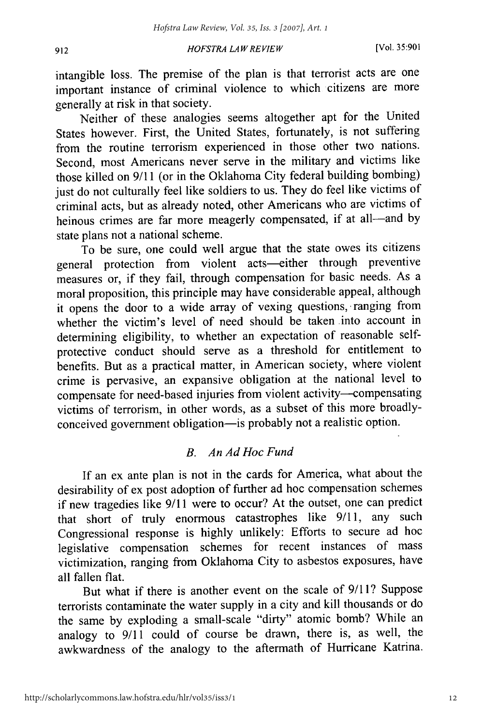#### *HOFSTRA LAW REVIEW*

intangible loss. The premise of the plan is that terrorist acts are one important instance of criminal violence to which citizens are more generally at risk in that society.

Neither of these analogies seems altogether apt for the United States however. First, the United States, fortunately, is not suffering from the routine terrorism experienced in those other two nations. Second, most Americans never serve in the military and victims like those killed on **9/11** (or in the Oklahoma City federal building bombing) just do not culturally feel like soldiers to us. They do feel like victims of criminal acts, but as already noted, other Americans who are victims of heinous crimes are far more meagerly compensated, if at all-and by state plans not a national scheme.

To be sure, one could well argue that the state owes its citizens general protection from violent acts-either through preventive measures or, if they fail, through compensation for basic needs. As a moral proposition, this principle may have considerable appeal, although it opens the door to a wide array of vexing questions, ranging from whether the victim's level of need should be taken into account in determining eligibility, to whether an expectation of reasonable selfprotective conduct should serve as a threshold for entitlement to benefits. But as a practical matter, in American society, where violent crime is pervasive, an expansive obligation at the national level to compensate for need-based injuries from violent activity--compensating victims of terrorism, in other words, as a subset of this more broadlyconceived government obligation-is probably not a realistic option.

#### *B. An Ad Hoc Fund*

If an ex ante plan is not in the cards for America, what about the desirability of ex post adoption of further ad hoc compensation schemes if new tragedies like 9/11 were to occur? At the outset, one can predict that short of truly enormous catastrophes like 9/11, any such Congressional response is highly unlikely: Efforts to secure ad hoc legislative compensation schemes for recent instances of mass victimization, ranging from Oklahoma City to asbestos exposures, have all fallen flat.

But what if there is another event on the scale of 9/11? Suppose terrorists contaminate the water supply in a city and kill thousands or do the same by exploding a small-scale "dirty" atomic bomb? While an analogy to 9/11 could of course be drawn, there is, as well, the awkwardness of the analogy to the aftermath of Hurricane Katrina.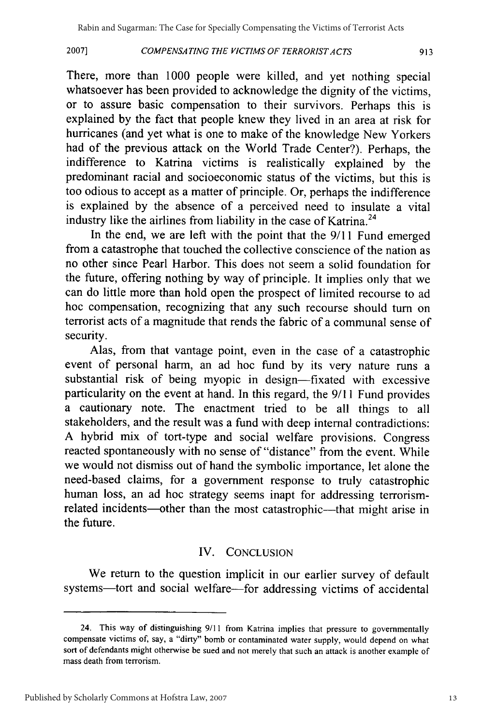#### COMPENSATING THE VICTIMS OF TERRORIST ACTS **2007]**

There, more than 1000 people were killed, and yet nothing special whatsoever has been provided to acknowledge the dignity of the victims, or to assure basic compensation to their survivors. Perhaps this is explained by the fact that people knew they lived in an area at risk for hurricanes (and yet what is one to make of the knowledge New Yorkers had of the previous attack on the World Trade Center?). Perhaps, the indifference to Katrina victims is realistically explained by the predominant racial and socioeconomic status of the victims, but this is too odious to accept as a matter of principle. Or, perhaps the indifference is explained by the absence of a perceived need to insulate a vital industry like the airlines from liability in the case of Katrina.<sup>24</sup>

In the end, we are left with the point that the **9/11** Fund emerged from a catastrophe that touched the collective conscience of the nation as no other since Pearl Harbor. This does not seem a solid foundation for the future, offering nothing by way of principle. It implies only that we can do little more than hold open the prospect of limited recourse to ad hoc compensation, recognizing that any such recourse should turn on terrorist acts of a magnitude that rends the fabric of a communal sense of security.

Alas, from that vantage point, even in the case of a catastrophic event of personal harm, an ad hoc fund by its very nature runs a substantial risk of being myopic in design—fixated with excessive particularity on the event at hand. In this regard, the 9/11 Fund provides a cautionary note. The enactment tried to be all things to all stakeholders, and the result was a fund with deep internal contradictions: A hybrid mix of tort-type and social welfare provisions. Congress reacted spontaneously with no sense of "distance" from the event. While we would not dismiss out of hand the symbolic importance, let alone the need-based claims, for a government response to truly catastrophic human loss, an ad hoc strategy seems inapt for addressing terrorismrelated incidents—other than the most catastrophic—that might arise in the future.

### IV. CONCLUSION

We return to the question implicit in our earlier survey of default systems-tort and social welfare-for addressing victims of accidental

<sup>24.</sup> This way of distinguishing **9/11** from Katrina implies that pressure to governmentally compensate victims of, say, a "dirty" bomb or contaminated water supply, would depend on what sort of defendants might otherwise be sued and not merely that such an attack is another example of mass death from terrorism.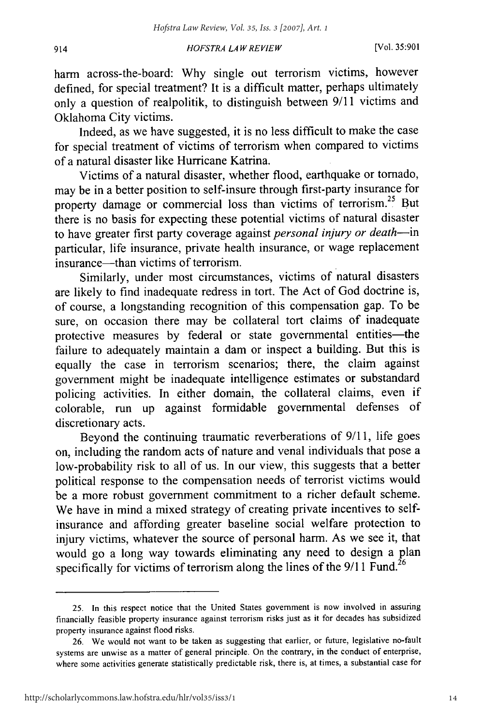#### *HOFSTRA LA W REVIEW*

harm across-the-board: Why single out terrorism victims, however defined, for special treatment? It is a difficult matter, perhaps ultimately only a question of realpolitik, to distinguish between 9/11 victims and Oklahoma City victims.

Indeed, as we have suggested, it is no less difficult to make the case for special treatment of victims of terrorism when compared to victims of a natural disaster like Hurricane Katrina.

Victims of a natural disaster, whether flood, earthquake or tornado, may be in a better position to self-insure through first-party insurance for property damage or commercial loss than victims of terrorism.<sup>25</sup> But there is no basis for expecting these potential victims of natural disaster to have greater first party coverage against *personal injury or death-in* particular, life insurance, private health insurance, or wage replacement insurance—than victims of terrorism.

Similarly, under most circumstances, victims of natural disasters are likely to find inadequate redress in tort. The Act of God doctrine is, of course, a longstanding recognition of this compensation gap. To be sure, on occasion there may be collateral tort claims of inadequate protective measures by federal or state governmental entities-the failure to adequately maintain a dam or inspect a building. But this is equally the case in terrorism scenarios; there, the claim against government might be inadequate intelligence estimates or substandard policing activities. In either domain, the collateral claims, even if colorable, run up against formidable governmental defenses of discretionary acts.

Beyond the continuing traumatic reverberations of 9/11, life goes on, including the random acts of nature and venal individuals that pose a low-probability risk to all of us. In our view, this suggests that a better political response to the compensation needs of terrorist victims would be a more robust government commitment to a richer default scheme. We have in mind a mixed strategy of creating private incentives to selfinsurance and affording greater baseline social welfare protection to injury victims, whatever the source of personal harm. As we see it, that would go a long way towards eliminating any need to design a plan specifically for victims of terrorism along the lines of the  $9/11$  Fund.<sup>26</sup>

914

<sup>25.</sup> In this respect notice that the United States government is now involved in assuring financially feasible property insurance against terrorism risks just as it for decades has subsidized property insurance against flood risks.

<sup>26.</sup> We would not want to be taken as suggesting that earlier, or future, legislative no-fault systems are unwise as a matter of general principle. On the contrary, in the conduct of enterprise, where some activities generate statistically predictable risk, there is, at times, a substantial case for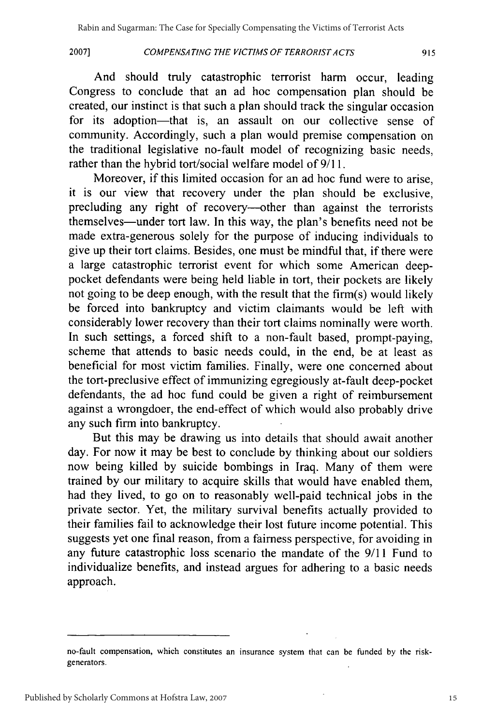**2007]**

#### *COMPENSATING THE VICTIMS OF TERRORISTACTS*

And should truly catastrophic terrorist harm occur, leading Congress to conclude that an ad hoc compensation plan should be created, our instinct is that such a plan should track the singular occasion for its adoption-that is, an assault on our collective sense of community. Accordingly, such a plan would premise compensation on the traditional legislative no-fault model of recognizing basic needs, rather than the hybrid tort/social welfare model of 9/11.

Moreover, if this limited occasion for an ad hoc fund were to arise, it is our view that recovery under the plan should be exclusive, precluding any right of recovery--other than against the terrorists themselves-under tort law. In this way, the plan's benefits need not be made extra-generous solely for the purpose of inducing individuals to give up their tort claims. Besides, one must be mindful that, if there were a large catastrophic terrorist event for which some American deeppocket defendants were being held liable in tort, their pockets are likely not going to be deep enough, with the result that the firm(s) would likely be forced into bankruptcy and victim claimants would be left with considerably lower recovery than their tort claims nominally were worth. In such settings, a forced shift to a non-fault based, prompt-paying, scheme that attends to basic needs could, in the end, be at least as beneficial for most victim families. Finally, were one concerned about the tort-preclusive effect of immunizing egregiously at-fault deep-pocket defendants, the ad hoc fund could be given a right of reimbursement against a wrongdoer, the end-effect of which would also probably drive any such firm into bankruptcy.

But this may be drawing us into details that should await another day. For now it may be best to conclude by thinking about our soldiers now being killed by suicide bombings in Iraq. Many of them were trained by our military to acquire skills that would have enabled them, had they lived, to go on to reasonably well-paid technical jobs in the private sector. Yet, the military survival benefits actually provided to their families fail to acknowledge their lost future income potential. This suggests yet one final reason, from a fairness perspective, for avoiding in any future catastrophic loss scenario the mandate of the 9/11 Fund to individualize benefits, and instead argues for adhering to a basic needs approach.

no-fault compensation, which constitutes an insurance system that can be funded by the riskgenerators.